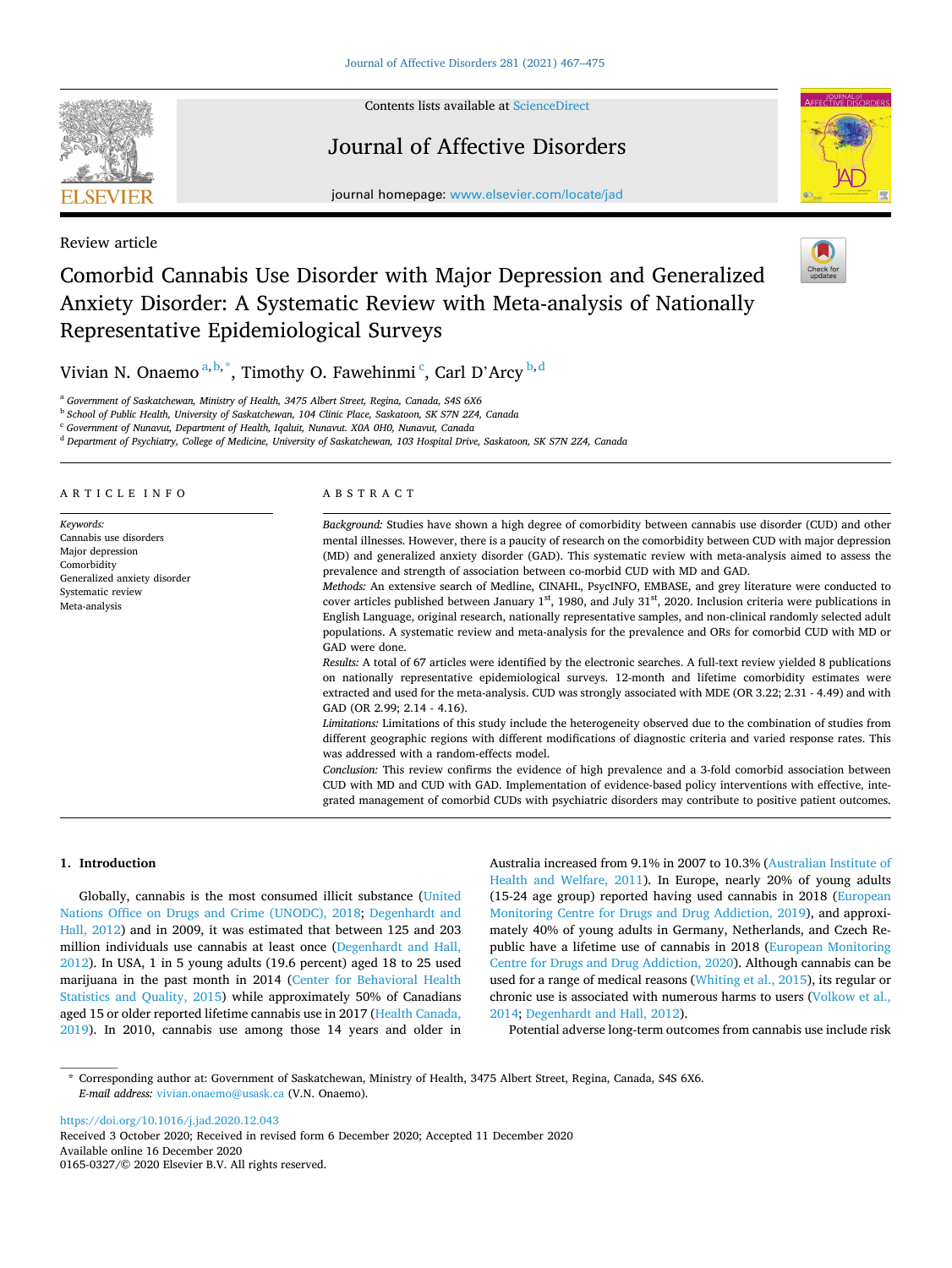

Review article

Contents lists available at [ScienceDirect](www.sciencedirect.com/science/journal/01650327)

# Journal of Affective Disorders



journal homepage: [www.elsevier.com/locate/jad](https://www.elsevier.com/locate/jad)

# Comorbid Cannabis Use Disorder with Major Depression and Generalized Anxiety Disorder: A Systematic Review with Meta-analysis of Nationally Representative Epidemiological Surveys

Vivian N. Onaemo  $a,b,*$ , Timothy O. Fawehinmi  $^c$ , Carl D'Arcy  $^{b,d}$ 

<sup>a</sup> *Government of Saskatchewan, Ministry of Health, 3475 Albert Street, Regina, Canada, S4S 6X6* 

<sup>b</sup> *School of Public Health, University of Saskatchewan, 104 Clinic Place, Saskatoon, SK S7N 2Z4, Canada* 

<sup>c</sup> *Government of Nunavut, Department of Health, Iqaluit, Nunavut. X0A 0H0, Nunavut, Canada* 

<sup>d</sup> *Department of Psychiatry, College of Medicine, University of Saskatchewan, 103 Hospital Drive, Saskatoon, SK S7N 2Z4, Canada* 

### ARTICLE INFO

*Keywords:*  Cannabis use disorders Major depression Comorbidity Generalized anxiety disorder Systematic review Meta-analysis

# ABSTRACT

*Background:* Studies have shown a high degree of comorbidity between cannabis use disorder (CUD) and other mental illnesses. However, there is a paucity of research on the comorbidity between CUD with major depression (MD) and generalized anxiety disorder (GAD). This systematic review with meta-analysis aimed to assess the prevalence and strength of association between co-morbid CUD with MD and GAD.

*Methods:* An extensive search of Medline, CINAHL, PsycINFO, EMBASE, and grey literature were conducted to cover articles published between January 1<sup>st</sup>, 1980, and July 31<sup>st</sup>, 2020. Inclusion criteria were publications in English Language, original research, nationally representative samples, and non-clinical randomly selected adult populations. A systematic review and meta-analysis for the prevalence and ORs for comorbid CUD with MD or GAD were done.

*Results:* A total of 67 articles were identified by the electronic searches. A full-text review yielded 8 publications on nationally representative epidemiological surveys. 12-month and lifetime comorbidity estimates were extracted and used for the meta-analysis. CUD was strongly associated with MDE (OR 3.22; 2.31 - 4.49) and with GAD (OR 2.99; 2.14 - 4.16).

*Limitations:* Limitations of this study include the heterogeneity observed due to the combination of studies from different geographic regions with different modifications of diagnostic criteria and varied response rates. This was addressed with a random-effects model.

*Conclusion:* This review confirms the evidence of high prevalence and a 3-fold comorbid association between CUD with MD and CUD with GAD. Implementation of evidence-based policy interventions with effective, integrated management of comorbid CUDs with psychiatric disorders may contribute to positive patient outcomes.

## **1. Introduction**

Globally, cannabis is the most consumed illicit substance ([United](#page-8-0)  [Nations Office on Drugs and Crime \(UNODC\), 2018;](#page-8-0) [Degenhardt and](#page-8-0)  [Hall, 2012\)](#page-8-0) and in 2009, it was estimated that between 125 and 203 million individuals use cannabis at least once ([Degenhardt and Hall,](#page-8-0)  [2012\)](#page-8-0). In USA, 1 in 5 young adults (19.6 percent) aged 18 to 25 used marijuana in the past month in 2014 ([Center for Behavioral Health](#page-7-0)  [Statistics and Quality, 2015\)](#page-7-0) while approximately 50% of Canadians aged 15 or older reported lifetime cannabis use in 2017 ([Health Canada,](#page-8-0)  [2019\)](#page-8-0). In 2010, cannabis use among those 14 years and older in Australia increased from 9.1% in 2007 to 10.3% ([Australian Institute of](#page-7-0)  [Health and Welfare, 2011\)](#page-7-0). In Europe, nearly 20% of young adults (15-24 age group) reported having used cannabis in 2018 [\(European](#page-8-0)  [Monitoring Centre for Drugs and Drug Addiction, 2019](#page-8-0)), and approximately 40% of young adults in Germany, Netherlands, and Czech Republic have a lifetime use of cannabis in 2018 [\(European Monitoring](#page-8-0)  [Centre for Drugs and Drug Addiction, 2020](#page-8-0)). Although cannabis can be used for a range of medical reasons [\(Whiting et al., 2015](#page-8-0)), its regular or chronic use is associated with numerous harms to users [\(Volkow et al.,](#page-8-0)  [2014; Degenhardt and Hall, 2012](#page-8-0)).

Potential adverse long-term outcomes from cannabis use include risk

\* Corresponding author at: Government of Saskatchewan, Ministry of Health, 3475 Albert Street, Regina, Canada, S4S 6X6. *E-mail address:* [vivian.onaemo@usask.ca](mailto:vivian.onaemo@usask.ca) (V.N. Onaemo).

<https://doi.org/10.1016/j.jad.2020.12.043>

Available online 16 December 2020 0165-0327/© 2020 Elsevier B.V. All rights reserved. Received 3 October 2020; Received in revised form 6 December 2020; Accepted 11 December 2020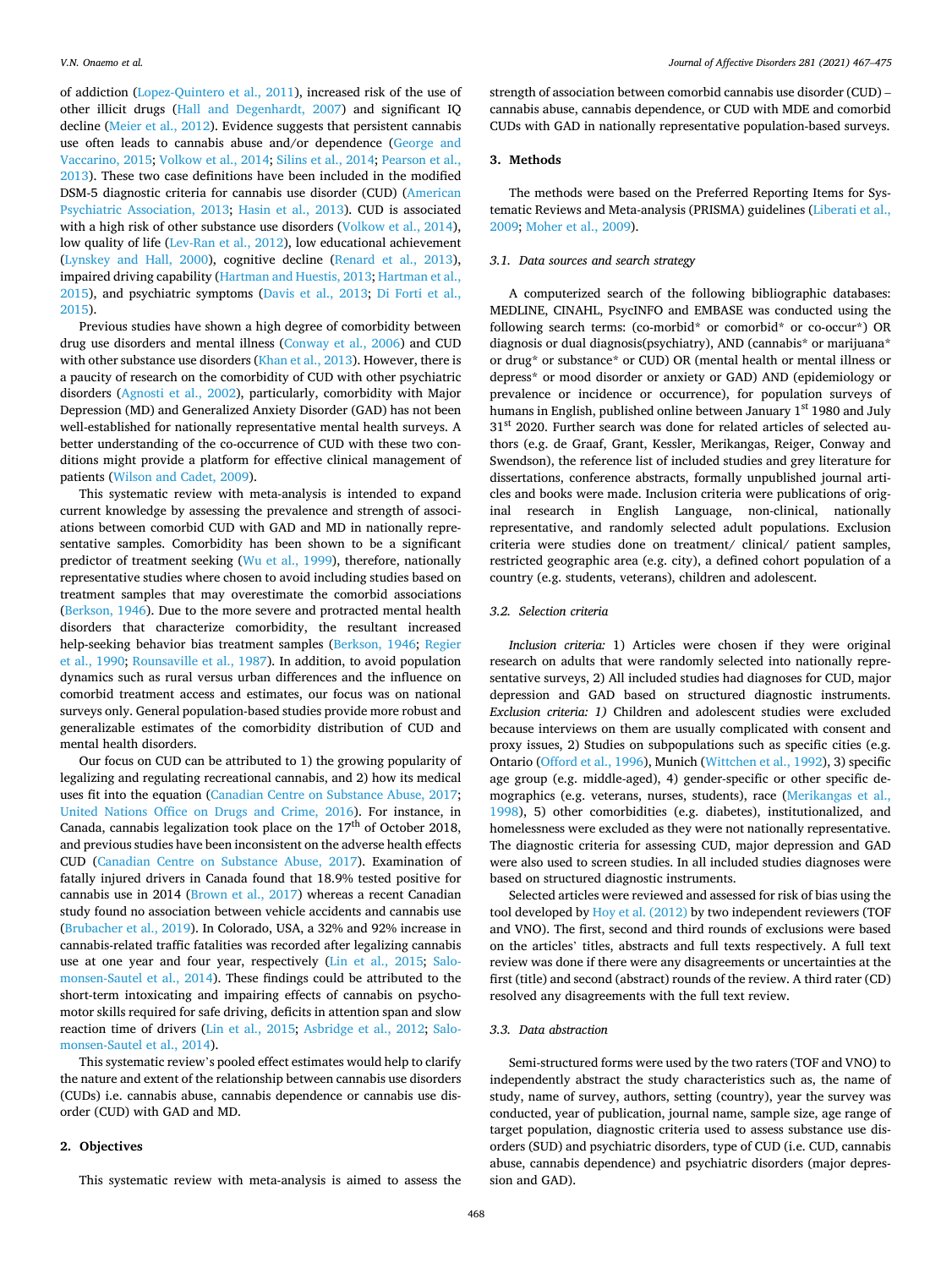of addiction [\(Lopez-Quintero et al., 2011](#page-8-0)), increased risk of the use of other illicit drugs ([Hall and Degenhardt, 2007\)](#page-8-0) and significant IQ decline [\(Meier et al., 2012](#page-8-0)). Evidence suggests that persistent cannabis use often leads to cannabis abuse and/or dependence [\(George and](#page-8-0)  [Vaccarino, 2015](#page-8-0); [Volkow et al., 2014; Silins et al., 2014](#page-8-0); [Pearson et al.,](#page-8-0)  [2013\)](#page-8-0). These two case definitions have been included in the modified DSM-5 diagnostic criteria for cannabis use disorder (CUD) ([American](#page-7-0)  [Psychiatric Association, 2013;](#page-7-0) [Hasin et al., 2013](#page-8-0)). CUD is associated with a high risk of other substance use disorders [\(Volkow et al., 2014](#page-8-0)), low quality of life [\(Lev-Ran et al., 2012](#page-8-0)), low educational achievement ([Lynskey and Hall, 2000](#page-8-0)), cognitive decline [\(Renard et al., 2013](#page-8-0)), impaired driving capability [\(Hartman and Huestis, 2013; Hartman et al.,](#page-8-0)  [2015\)](#page-8-0), and psychiatric symptoms ([Davis et al., 2013](#page-8-0); [Di Forti et al.,](#page-8-0)  [2015\)](#page-8-0).

Previous studies have shown a high degree of comorbidity between drug use disorders and mental illness ([Conway et al., 2006](#page-7-0)) and CUD with other substance use disorders ([Khan et al., 2013\)](#page-8-0). However, there is a paucity of research on the comorbidity of CUD with other psychiatric disorders [\(Agnosti et al., 2002\)](#page-7-0), particularly, comorbidity with Major Depression (MD) and Generalized Anxiety Disorder (GAD) has not been well-established for nationally representative mental health surveys. A better understanding of the co-occurrence of CUD with these two conditions might provide a platform for effective clinical management of patients ([Wilson and Cadet, 2009\)](#page-8-0).

This systematic review with meta-analysis is intended to expand current knowledge by assessing the prevalence and strength of associations between comorbid CUD with GAD and MD in nationally representative samples. Comorbidity has been shown to be a significant predictor of treatment seeking ([Wu et al., 1999\)](#page-8-0), therefore, nationally representative studies where chosen to avoid including studies based on treatment samples that may overestimate the comorbid associations ([Berkson, 1946\)](#page-7-0). Due to the more severe and protracted mental health disorders that characterize comorbidity, the resultant increased help-seeking behavior bias treatment samples ([Berkson, 1946](#page-7-0); [Regier](#page-8-0)  [et al., 1990](#page-8-0); [Rounsaville et al., 1987](#page-8-0)). In addition, to avoid population dynamics such as rural versus urban differences and the influence on comorbid treatment access and estimates, our focus was on national surveys only. General population-based studies provide more robust and generalizable estimates of the comorbidity distribution of CUD and mental health disorders.

Our focus on CUD can be attributed to 1) the growing popularity of legalizing and regulating recreational cannabis, and 2) how its medical uses fit into the equation ([Canadian Centre on Substance Abuse, 2017](#page-7-0); [United Nations Office on Drugs and Crime, 2016](#page-8-0)). For instance, in Canada, cannabis legalization took place on the  $17<sup>th</sup>$  of October 2018, and previous studies have been inconsistent on the adverse health effects CUD ([Canadian Centre on Substance Abuse, 2017\)](#page-7-0). Examination of fatally injured drivers in Canada found that 18.9% tested positive for cannabis use in 2014 [\(Brown et al., 2017](#page-7-0)) whereas a recent Canadian study found no association between vehicle accidents and cannabis use ([Brubacher et al., 2019](#page-7-0)). In Colorado, USA, a 32% and 92% increase in cannabis-related traffic fatalities was recorded after legalizing cannabis use at one year and four year, respectively [\(Lin et al., 2015;](#page-8-0) [Salo](#page-8-0)[monsen-Sautel et al., 2014](#page-8-0)). These findings could be attributed to the short-term intoxicating and impairing effects of cannabis on psychomotor skills required for safe driving, deficits in attention span and slow reaction time of drivers ([Lin et al., 2015;](#page-8-0) [Asbridge et al., 2012;](#page-7-0) [Salo](#page-8-0)[monsen-Sautel et al., 2014\)](#page-8-0).

This systematic review's pooled effect estimates would help to clarify the nature and extent of the relationship between cannabis use disorders (CUDs) i.e. cannabis abuse, cannabis dependence or cannabis use disorder (CUD) with GAD and MD.

# **2. Objectives**

This systematic review with meta-analysis is aimed to assess the

strength of association between comorbid cannabis use disorder (CUD) – cannabis abuse, cannabis dependence, or CUD with MDE and comorbid CUDs with GAD in nationally representative population-based surveys.

### **3. Methods**

The methods were based on the Preferred Reporting Items for Systematic Reviews and Meta-analysis (PRISMA) guidelines ([Liberati et al.,](#page-8-0)  [2009; Moher et al., 2009\)](#page-8-0).

### *3.1. Data sources and search strategy*

A computerized search of the following bibliographic databases: MEDLINE, CINAHL, PsycINFO and EMBASE was conducted using the following search terms: (co-morbid\* or comorbid\* or co-occur\*) OR diagnosis or dual diagnosis(psychiatry), AND (cannabis\* or marijuana\* or drug\* or substance\* or CUD) OR (mental health or mental illness or depress\* or mood disorder or anxiety or GAD) AND (epidemiology or prevalence or incidence or occurrence), for population surveys of humans in English, published online between January  $1<sup>st</sup> 1980$  and July 31<sup>st</sup> 2020. Further search was done for related articles of selected authors (e.g. de Graaf, Grant, Kessler, Merikangas, Reiger, Conway and Swendson), the reference list of included studies and grey literature for dissertations, conference abstracts, formally unpublished journal articles and books were made. Inclusion criteria were publications of original research in English Language, non-clinical, nationally representative, and randomly selected adult populations. Exclusion criteria were studies done on treatment/ clinical/ patient samples, restricted geographic area (e.g. city), a defined cohort population of a country (e.g. students, veterans), children and adolescent.

### *3.2. Selection criteria*

*Inclusion criteria:* 1) Articles were chosen if they were original research on adults that were randomly selected into nationally representative surveys, 2) All included studies had diagnoses for CUD, major depression and GAD based on structured diagnostic instruments. *Exclusion criteria: 1)* Children and adolescent studies were excluded because interviews on them are usually complicated with consent and proxy issues, 2) Studies on subpopulations such as specific cities (e.g. Ontario ([Offord et al., 1996\)](#page-8-0), Munich ([Wittchen et al., 1992\)](#page-8-0), 3) specific age group (e.g. middle-aged), 4) gender-specific or other specific demographics (e.g. veterans, nurses, students), race ([Merikangas et al.,](#page-8-0)  [1998\)](#page-8-0), 5) other comorbidities (e.g. diabetes), institutionalized, and homelessness were excluded as they were not nationally representative. The diagnostic criteria for assessing CUD, major depression and GAD were also used to screen studies. In all included studies diagnoses were based on structured diagnostic instruments.

Selected articles were reviewed and assessed for risk of bias using the tool developed by [Hoy et al. \(2012\)](#page-8-0) by two independent reviewers (TOF and VNO). The first, second and third rounds of exclusions were based on the articles' titles, abstracts and full texts respectively. A full text review was done if there were any disagreements or uncertainties at the first (title) and second (abstract) rounds of the review. A third rater (CD) resolved any disagreements with the full text review.

### *3.3. Data abstraction*

Semi-structured forms were used by the two raters (TOF and VNO) to independently abstract the study characteristics such as, the name of study, name of survey, authors, setting (country), year the survey was conducted, year of publication, journal name, sample size, age range of target population, diagnostic criteria used to assess substance use disorders (SUD) and psychiatric disorders, type of CUD (i.e. CUD, cannabis abuse, cannabis dependence) and psychiatric disorders (major depression and GAD).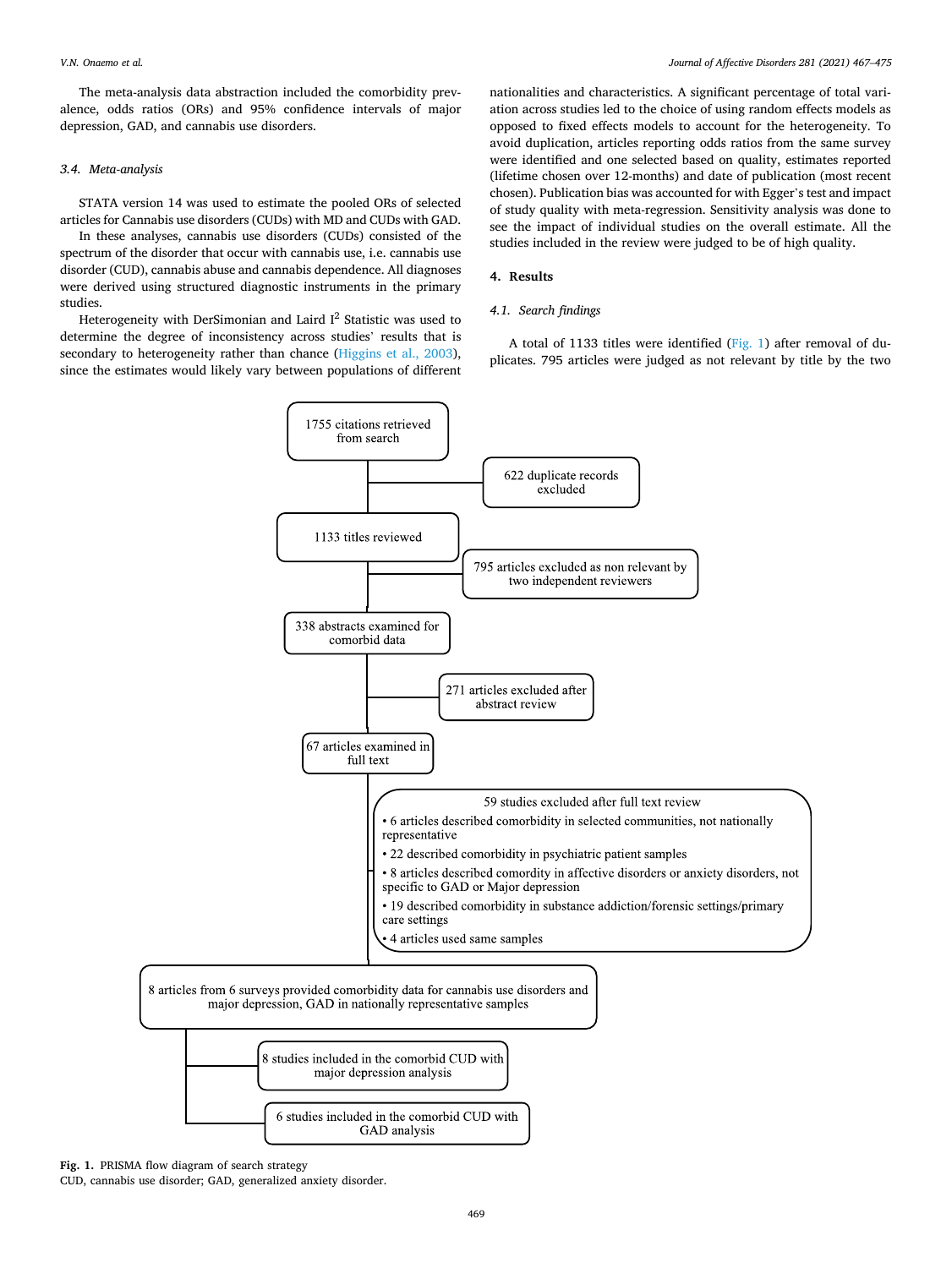The meta-analysis data abstraction included the comorbidity prevalence, odds ratios (ORs) and 95% confidence intervals of major depression, GAD, and cannabis use disorders.

# *3.4. Meta-analysis*

STATA version 14 was used to estimate the pooled ORs of selected articles for Cannabis use disorders (CUDs) with MD and CUDs with GAD.

In these analyses, cannabis use disorders (CUDs) consisted of the spectrum of the disorder that occur with cannabis use, i.e. cannabis use disorder (CUD), cannabis abuse and cannabis dependence. All diagnoses were derived using structured diagnostic instruments in the primary studies.

Heterogeneity with DerSimonian and Laird  $I^2$  Statistic was used to determine the degree of inconsistency across studies' results that is secondary to heterogeneity rather than chance ([Higgins et al., 2003](#page-8-0)), since the estimates would likely vary between populations of different

nationalities and characteristics. A significant percentage of total variation across studies led to the choice of using random effects models as opposed to fixed effects models to account for the heterogeneity. To avoid duplication, articles reporting odds ratios from the same survey were identified and one selected based on quality, estimates reported (lifetime chosen over 12-months) and date of publication (most recent chosen). Publication bias was accounted for with Egger's test and impact of study quality with meta-regression. Sensitivity analysis was done to see the impact of individual studies on the overall estimate. All the studies included in the review were judged to be of high quality.

### **4. Results**

### *4.1. Search findings*

A total of 1133 titles were identified (Fig. 1) after removal of duplicates. 795 articles were judged as not relevant by title by the two



**Fig. 1.** PRISMA flow diagram of search strategy

CUD, cannabis use disorder; GAD, generalized anxiety disorder.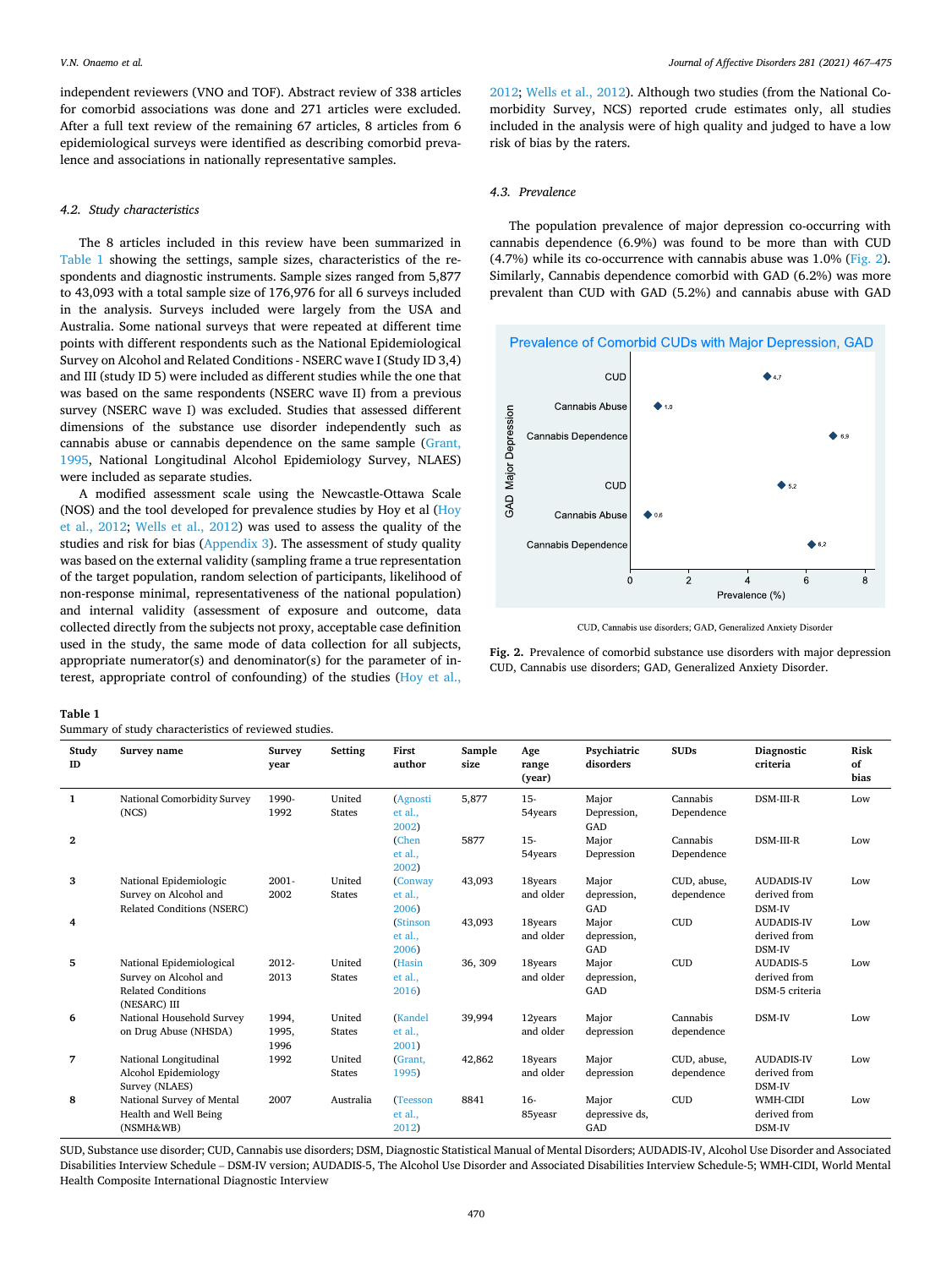independent reviewers (VNO and TOF). Abstract review of 338 articles for comorbid associations was done and 271 articles were excluded. After a full text review of the remaining 67 articles, 8 articles from 6 epidemiological surveys were identified as describing comorbid prevalence and associations in nationally representative samples.

### *4.2. Study characteristics*

The 8 articles included in this review have been summarized in Table 1 showing the settings, sample sizes, characteristics of the respondents and diagnostic instruments. Sample sizes ranged from 5,877 to 43,093 with a total sample size of 176,976 for all 6 surveys included in the analysis. Surveys included were largely from the USA and Australia. Some national surveys that were repeated at different time points with different respondents such as the National Epidemiological Survey on Alcohol and Related Conditions - NSERC wave I (Study ID 3,4) and III (study ID 5) were included as different studies while the one that was based on the same respondents (NSERC wave II) from a previous survey (NSERC wave I) was excluded. Studies that assessed different dimensions of the substance use disorder independently such as cannabis abuse or cannabis dependence on the same sample ([Grant,](#page-8-0)  [1995,](#page-8-0) National Longitudinal Alcohol Epidemiology Survey, NLAES) were included as separate studies.

A modified assessment scale using the Newcastle-Ottawa Scale (NOS) and the tool developed for prevalence studies by Hoy et al (Hoy [et al., 2012](#page-8-0); [Wells et al., 2012](#page-8-0)) was used to assess the quality of the studies and risk for bias ([Appendix 3](#page-6-0)). The assessment of study quality was based on the external validity (sampling frame a true representation of the target population, random selection of participants, likelihood of non-response minimal, representativeness of the national population) and internal validity (assessment of exposure and outcome, data collected directly from the subjects not proxy, acceptable case definition used in the study, the same mode of data collection for all subjects, appropriate numerator(s) and denominator(s) for the parameter of interest, appropriate control of confounding) of the studies [\(Hoy et al.,](#page-8-0) 

[2012; Wells et al., 2012](#page-8-0)). Although two studies (from the National Comorbidity Survey, NCS) reported crude estimates only, all studies included in the analysis were of high quality and judged to have a low risk of bias by the raters.

### *4.3. Prevalence*

The population prevalence of major depression co-occurring with cannabis dependence (6.9%) was found to be more than with CUD (4.7%) while its co-occurrence with cannabis abuse was 1.0% (Fig. 2). Similarly, Cannabis dependence comorbid with GAD (6.2%) was more prevalent than CUD with GAD (5.2%) and cannabis abuse with GAD



CUD, Cannabis use disorders; GAD, Generalized Anxiety Disorder

**Fig. 2.** Prevalence of comorbid substance use disorders with major depression CUD, Cannabis use disorders; GAD, Generalized Anxiety Disorder.

#### **Table 1**

| Study<br>ID  | Survey name                                                                                    | Survey<br>vear         | Setting                 | First<br>author              | Sample<br>size | Age<br>range<br>(year) | Psychiatric<br>disorders       | <b>SUDs</b>               | Diagnostic<br>criteria                      | Risk<br>of<br>bias |
|--------------|------------------------------------------------------------------------------------------------|------------------------|-------------------------|------------------------------|----------------|------------------------|--------------------------------|---------------------------|---------------------------------------------|--------------------|
| -1           | National Comorbidity Survey<br>(NCS)                                                           | 1990-<br>1992          | United<br><b>States</b> | (Agnosti<br>et al.,<br>2002) | 5,877          | $15 -$<br>54years      | Major<br>Depression,<br>GAD    | Cannabis<br>Dependence    | DSM-III-R                                   | Low                |
| $\mathbf{2}$ |                                                                                                |                        |                         | (Chen<br>et al.,<br>2002)    | 5877           | $15 -$<br>54years      | Major<br>Depression            | Cannabis<br>Dependence    | DSM-III-R                                   | Low                |
| 3            | National Epidemiologic<br>Survey on Alcohol and<br>Related Conditions (NSERC)                  | 2001-<br>2002          | United<br><b>States</b> | (Conway<br>et al.,<br>2006)  | 43,093         | 18years<br>and older   | Major<br>depression,<br>GAD    | CUD, abuse,<br>dependence | <b>AUDADIS-IV</b><br>derived from<br>DSM-IV | Low                |
| 4            |                                                                                                |                        |                         | (Stinson<br>et al.,<br>2006) | 43,093         | 18years<br>and older   | Major<br>depression,<br>GAD    | <b>CUD</b>                | <b>AUDADIS-IV</b><br>derived from<br>DSM-IV | Low                |
| 5            | National Epidemiological<br>Survey on Alcohol and<br><b>Related Conditions</b><br>(NESARC) III | 2012-<br>2013          | United<br><b>States</b> | (Hasin<br>et al.,<br>2016)   | 36, 309        | 18years<br>and older   | Major<br>depression,<br>GAD    | <b>CUD</b>                | AUDADIS-5<br>derived from<br>DSM-5 criteria | Low                |
| 6            | National Household Survey<br>on Drug Abuse (NHSDA)                                             | 1994,<br>1995,<br>1996 | United<br><b>States</b> | (Kandel<br>et al.,<br>2001)  | 39,994         | 12years<br>and older   | Major<br>depression            | Cannabis<br>dependence    | DSM-IV                                      | Low                |
| 7            | National Longitudinal<br>Alcohol Epidemiology<br>Survey (NLAES)                                | 1992                   | United<br><b>States</b> | (Grant,<br>1995)             | 42,862         | 18years<br>and older   | Major<br>depression            | CUD, abuse,<br>dependence | <b>AUDADIS-IV</b><br>derived from<br>DSM-IV | Low                |
| 8            | National Survey of Mental<br>Health and Well Being<br>(NSMH&WB)                                | 2007                   | Australia               | (Teesson<br>et al.,<br>2012) | 8841           | $16-$<br>85yeasr       | Major<br>depressive ds,<br>GAD | <b>CUD</b>                | WMH-CIDI<br>derived from<br>DSM-IV          | Low                |

SUD, Substance use disorder; CUD, Cannabis use disorders; DSM, Diagnostic Statistical Manual of Mental Disorders; AUDADIS-IV, Alcohol Use Disorder and Associated Disabilities Interview Schedule – DSM-IV version; AUDADIS-5, The Alcohol Use Disorder and Associated Disabilities Interview Schedule-5; WMH-CIDI, World Mental Health Composite International Diagnostic Interview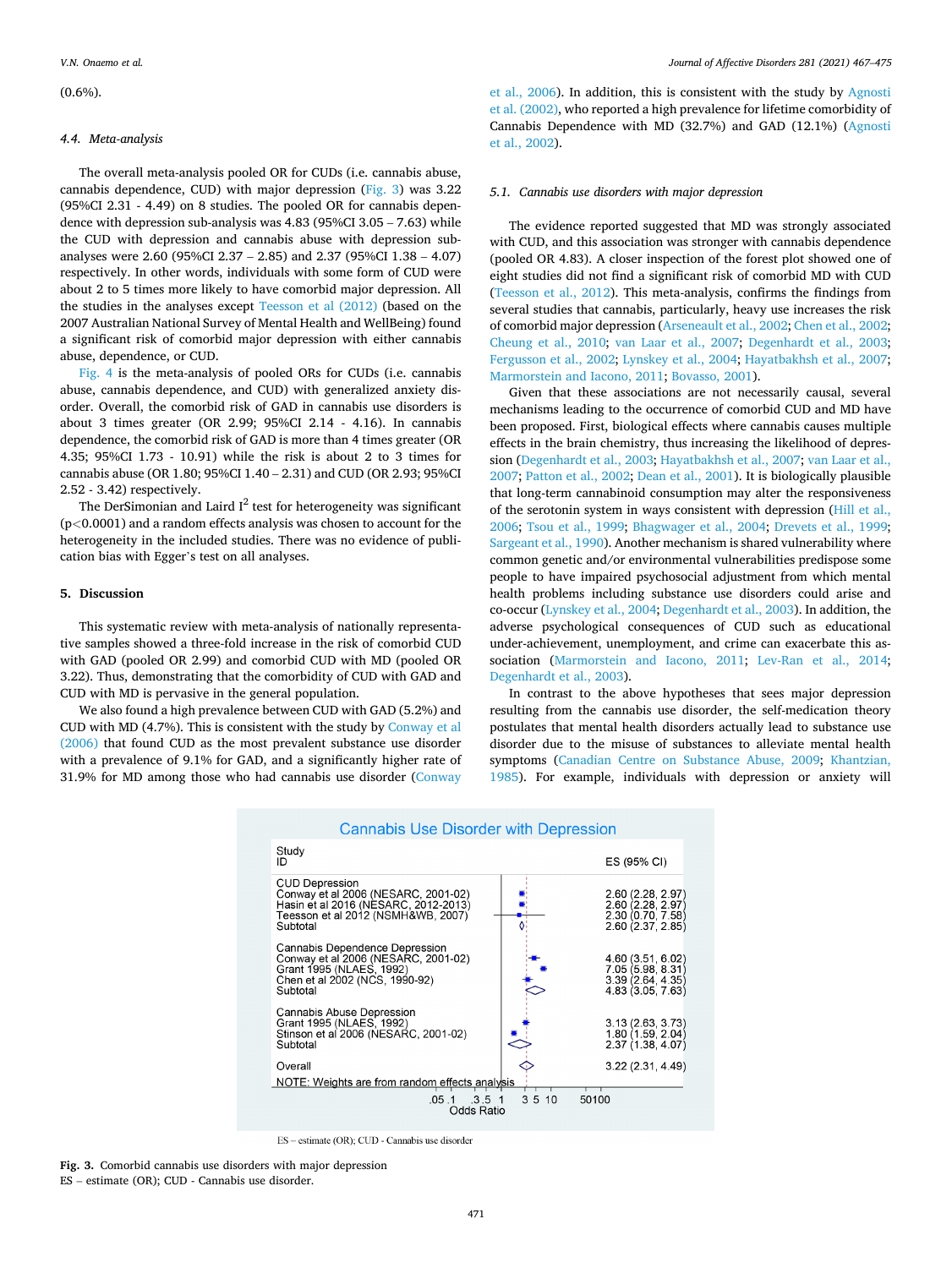$(0.6\%)$ 

### *4.4. Meta-analysis*

The overall meta-analysis pooled OR for CUDs (i.e. cannabis abuse, cannabis dependence, CUD) with major depression (Fig. 3) was 3.22 (95%CI 2.31 - 4.49) on 8 studies. The pooled OR for cannabis dependence with depression sub-analysis was 4.83 (95%CI 3.05 – 7.63) while the CUD with depression and cannabis abuse with depression subanalyses were 2.60 (95%CI 2.37 – 2.85) and 2.37 (95%CI 1.38 – 4.07) respectively. In other words, individuals with some form of CUD were about 2 to 5 times more likely to have comorbid major depression. All the studies in the analyses except [Teesson et al \(2012\)](#page-8-0) (based on the 2007 Australian National Survey of Mental Health and WellBeing) found a significant risk of comorbid major depression with either cannabis abuse, dependence, or CUD.

[Fig. 4](#page-5-0) is the meta-analysis of pooled ORs for CUDs (i.e. cannabis abuse, cannabis dependence, and CUD) with generalized anxiety disorder. Overall, the comorbid risk of GAD in cannabis use disorders is about 3 times greater (OR 2.99; 95%CI 2.14 - 4.16). In cannabis dependence, the comorbid risk of GAD is more than 4 times greater (OR 4.35; 95%CI 1.73 - 10.91) while the risk is about 2 to 3 times for cannabis abuse (OR 1.80; 95%CI 1.40 – 2.31) and CUD (OR 2.93; 95%CI 2.52 - 3.42) respectively.

The DerSimonian and Laird  $I^2$  test for heterogeneity was significant (p*<*0.0001) and a random effects analysis was chosen to account for the heterogeneity in the included studies. There was no evidence of publication bias with Egger's test on all analyses.

## **5. Discussion**

This systematic review with meta-analysis of nationally representative samples showed a three-fold increase in the risk of comorbid CUD with GAD (pooled OR 2.99) and comorbid CUD with MD (pooled OR 3.22). Thus, demonstrating that the comorbidity of CUD with GAD and CUD with MD is pervasive in the general population.

We also found a high prevalence between CUD with GAD (5.2%) and CUD with MD (4.7%). This is consistent with the study by [Conway et al](#page-7-0)  [\(2006\)](#page-7-0) that found CUD as the most prevalent substance use disorder with a prevalence of 9.1% for GAD, and a significantly higher rate of 31.9% for MD among those who had cannabis use disorder [\(Conway](#page-7-0) 

[et al., 2006](#page-7-0)). In addition, this is consistent with the study by [Agnosti](#page-7-0)  [et al. \(2002\)](#page-7-0), who reported a high prevalence for lifetime comorbidity of Cannabis Dependence with MD (32.7%) and GAD (12.1%) ([Agnosti](#page-7-0)  [et al., 2002\)](#page-7-0).

### *5.1. Cannabis use disorders with major depression*

The evidence reported suggested that MD was strongly associated with CUD, and this association was stronger with cannabis dependence (pooled OR 4.83). A closer inspection of the forest plot showed one of eight studies did not find a significant risk of comorbid MD with CUD ([Teesson et al., 2012\)](#page-8-0). This meta-analysis, confirms the findings from several studies that cannabis, particularly, heavy use increases the risk of comorbid major depression ([Arseneault et al., 2002](#page-7-0); [Chen et al., 2002](#page-7-0); [Cheung et al., 2010](#page-7-0); [van Laar et al., 2007;](#page-8-0) [Degenhardt et al., 2003](#page-8-0); [Fergusson et al., 2002;](#page-8-0) [Lynskey et al., 2004](#page-8-0); [Hayatbakhsh et al., 2007](#page-8-0); [Marmorstein and Iacono, 2011;](#page-8-0) [Bovasso, 2001](#page-7-0)).

Given that these associations are not necessarily causal, several mechanisms leading to the occurrence of comorbid CUD and MD have been proposed. First, biological effects where cannabis causes multiple effects in the brain chemistry, thus increasing the likelihood of depression [\(Degenhardt et al., 2003](#page-8-0); [Hayatbakhsh et al., 2007](#page-8-0); [van Laar et al.,](#page-8-0)  [2007; Patton et al., 2002](#page-8-0); [Dean et al., 2001](#page-8-0)). It is biologically plausible that long-term cannabinoid consumption may alter the responsiveness of the serotonin system in ways consistent with depression ([Hill et al.,](#page-8-0)  [2006;](#page-8-0) [Tsou et al., 1999;](#page-8-0) [Bhagwager et al., 2004](#page-7-0); [Drevets et al., 1999](#page-8-0); [Sargeant et al., 1990\)](#page-8-0). Another mechanism is shared vulnerability where common genetic and/or environmental vulnerabilities predispose some people to have impaired psychosocial adjustment from which mental health problems including substance use disorders could arise and co-occur [\(Lynskey et al., 2004; Degenhardt et al., 2003\)](#page-8-0). In addition, the adverse psychological consequences of CUD such as educational under-achievement, unemployment, and crime can exacerbate this association [\(Marmorstein and Iacono, 2011](#page-8-0); [Lev-Ran et al., 2014](#page-8-0); [Degenhardt et al., 2003](#page-8-0)).

In contrast to the above hypotheses that sees major depression resulting from the cannabis use disorder, the self-medication theory postulates that mental health disorders actually lead to substance use disorder due to the misuse of substances to alleviate mental health symptoms ([Canadian Centre on Substance Abuse, 2009](#page-7-0); [Khantzian,](#page-8-0)  [1985\)](#page-8-0). For example, individuals with depression or anxiety will

| Cannabis Use Disorger with Depression                                                                                                                  |  |                                                                                  |  |  |  |  |  |  |
|--------------------------------------------------------------------------------------------------------------------------------------------------------|--|----------------------------------------------------------------------------------|--|--|--|--|--|--|
| Study<br>ID                                                                                                                                            |  | ES (95% CI)                                                                      |  |  |  |  |  |  |
| <b>CUD Depression</b><br>Conway et al 2006 (NESARC, 2001-02)<br>Hasin et al 2016 (NESARC, 2012-2013)<br>Teesson et al 2012 (NSMH&WB, 2007)<br>Subtotal |  | 2.60 (2.28, 2.97)<br>2.60 (2.28, 2.97)<br>2.30 (0.70, 7.58)<br>2.60 (2.37, 2.85) |  |  |  |  |  |  |
| Cannabis Dependence Depression<br>Conway et al 2006 (NESARC, 2001-02)<br>Grant 1995 (NLAES, 1992)<br>Chen et al 2002 (NCS, 1990-92)<br>Subtotal        |  | 4.60 (3.51, 6.02)<br>7.05 (5.98, 8.31)<br>3.39 (2.64, 4.35)<br>4.83 (3.05, 7.63) |  |  |  |  |  |  |
| Cannabis Abuse Depression<br>Grant 1995 (NLAES, 1992)<br>Stinson et al 2006 (NESARC, 2001-02)<br>Subtotal                                              |  | 3.13(2.63, 3.73)<br>1.80 (1.59, 2.04)<br>2.37(1.38, 4.07)                        |  |  |  |  |  |  |
| Overall                                                                                                                                                |  | 3.22 (2.31, 4.49)                                                                |  |  |  |  |  |  |
| NOTE: Weights are from random effects analysis                                                                                                         |  |                                                                                  |  |  |  |  |  |  |
| $.05.1$ $.3.5$ 1<br>3 5 10<br>50100<br>Odds Ratio                                                                                                      |  |                                                                                  |  |  |  |  |  |  |
|                                                                                                                                                        |  |                                                                                  |  |  |  |  |  |  |

# Connobio Lleo Dioerder with Depressio

ES - estimate (OR); CUD - Cannabis use disorder

**Fig. 3.** Comorbid cannabis use disorders with major depression ES – estimate (OR); CUD - Cannabis use disorder.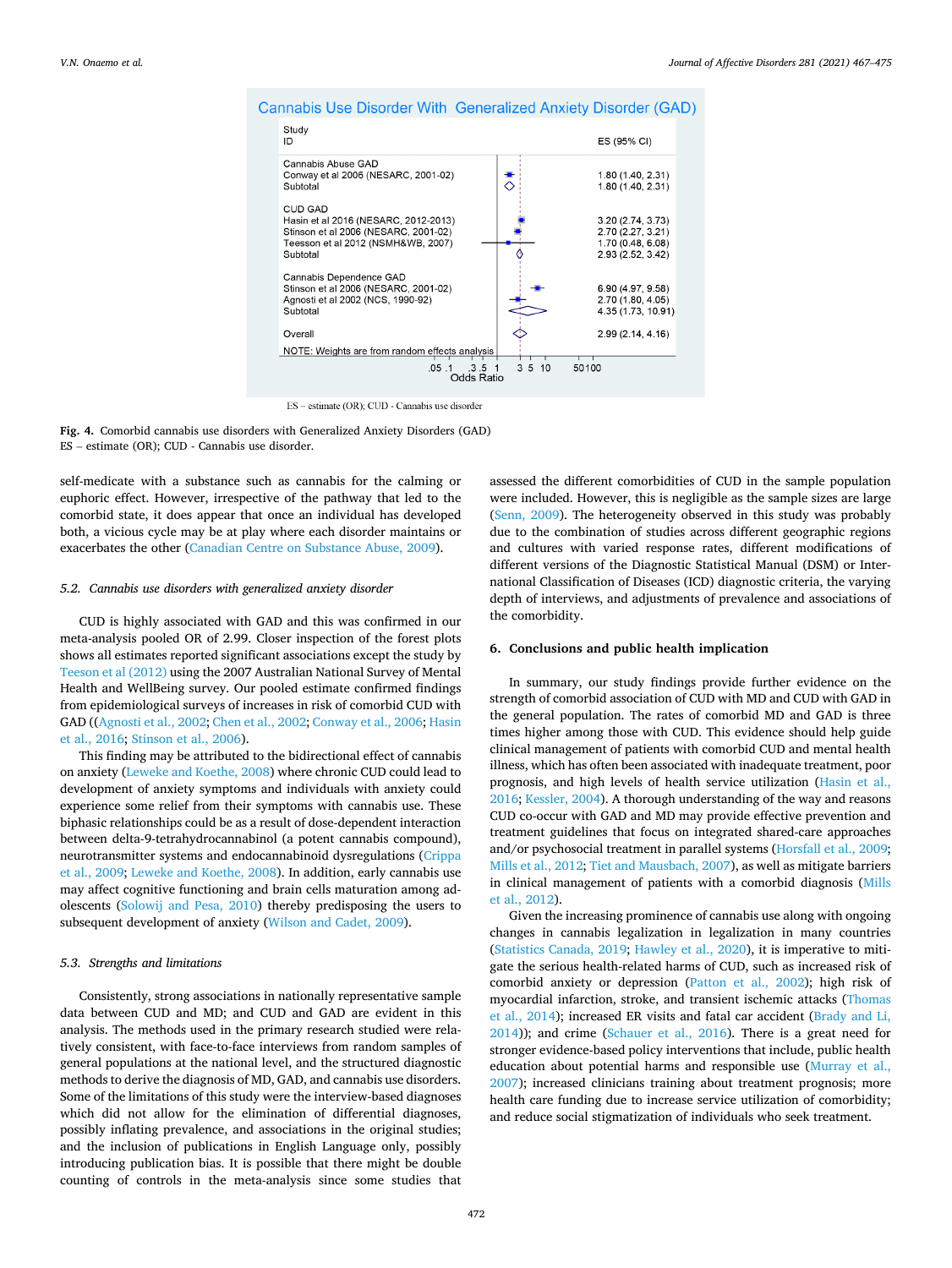

# <span id="page-5-0"></span>Cannabis Use Disorder With Generalized Anxiety Disorder (GAD)

ES - estimate (OR); CUD - Cannabis use disorder



self-medicate with a substance such as cannabis for the calming or euphoric effect. However, irrespective of the pathway that led to the comorbid state, it does appear that once an individual has developed both, a vicious cycle may be at play where each disorder maintains or exacerbates the other ([Canadian Centre on Substance Abuse, 2009\)](#page-7-0).

### *5.2. Cannabis use disorders with generalized anxiety disorder*

CUD is highly associated with GAD and this was confirmed in our meta-analysis pooled OR of 2.99. Closer inspection of the forest plots shows all estimates reported significant associations except the study by [Teeson et al \(2012\)](#page-8-0) using the 2007 Australian National Survey of Mental Health and WellBeing survey. Our pooled estimate confirmed findings from epidemiological surveys of increases in risk of comorbid CUD with GAD (([Agnosti et al., 2002](#page-7-0); [Chen et al., 2002; Conway et al., 2006;](#page-7-0) [Hasin](#page-8-0)  [et al., 2016; Stinson et al., 2006\)](#page-8-0).

This finding may be attributed to the bidirectional effect of cannabis on anxiety [\(Leweke and Koethe, 2008\)](#page-8-0) where chronic CUD could lead to development of anxiety symptoms and individuals with anxiety could experience some relief from their symptoms with cannabis use. These biphasic relationships could be as a result of dose-dependent interaction between delta-9-tetrahydrocannabinol (a potent cannabis compound), neurotransmitter systems and endocannabinoid dysregulations [\(Crippa](#page-7-0)  [et al., 2009;](#page-7-0) [Leweke and Koethe, 2008](#page-8-0)). In addition, early cannabis use may affect cognitive functioning and brain cells maturation among adolescents ([Solowij and Pesa, 2010](#page-8-0)) thereby predisposing the users to subsequent development of anxiety ([Wilson and Cadet, 2009\)](#page-8-0).

### *5.3. Strengths and limitations*

Consistently, strong associations in nationally representative sample data between CUD and MD; and CUD and GAD are evident in this analysis. The methods used in the primary research studied were relatively consistent, with face-to-face interviews from random samples of general populations at the national level, and the structured diagnostic methods to derive the diagnosis of MD, GAD, and cannabis use disorders. Some of the limitations of this study were the interview-based diagnoses which did not allow for the elimination of differential diagnoses, possibly inflating prevalence, and associations in the original studies; and the inclusion of publications in English Language only, possibly introducing publication bias. It is possible that there might be double counting of controls in the meta-analysis since some studies that

assessed the different comorbidities of CUD in the sample population were included. However, this is negligible as the sample sizes are large ([Senn, 2009](#page-8-0)). The heterogeneity observed in this study was probably due to the combination of studies across different geographic regions and cultures with varied response rates, different modifications of different versions of the Diagnostic Statistical Manual (DSM) or International Classification of Diseases (ICD) diagnostic criteria, the varying depth of interviews, and adjustments of prevalence and associations of the comorbidity.

### **6. Conclusions and public health implication**

In summary, our study findings provide further evidence on the strength of comorbid association of CUD with MD and CUD with GAD in the general population. The rates of comorbid MD and GAD is three times higher among those with CUD. This evidence should help guide clinical management of patients with comorbid CUD and mental health illness, which has often been associated with inadequate treatment, poor prognosis, and high levels of health service utilization ([Hasin et al.,](#page-8-0)  [2016; Kessler, 2004\)](#page-8-0). A thorough understanding of the way and reasons CUD co-occur with GAD and MD may provide effective prevention and treatment guidelines that focus on integrated shared-care approaches and/or psychosocial treatment in parallel systems ([Horsfall et al., 2009](#page-8-0); [Mills et al., 2012; Tiet and Mausbach, 2007](#page-8-0)), as well as mitigate barriers in clinical management of patients with a comorbid diagnosis [\(Mills](#page-8-0)  [et al., 2012\)](#page-8-0).

Given the increasing prominence of cannabis use along with ongoing changes in cannabis legalization in legalization in many countries ([Statistics Canada, 2019](#page-8-0); [Hawley et al., 2020](#page-8-0)), it is imperative to mitigate the serious health-related harms of CUD, such as increased risk of comorbid anxiety or depression ([Patton et al., 2002](#page-8-0)); high risk of myocardial infarction, stroke, and transient ischemic attacks ([Thomas](#page-8-0)  [et al., 2014\)](#page-8-0); increased ER visits and fatal car accident [\(Brady and Li,](#page-7-0)  [2014\)](#page-7-0)); and crime [\(Schauer et al., 2016\)](#page-8-0). There is a great need for stronger evidence-based policy interventions that include, public health education about potential harms and responsible use ([Murray et al.,](#page-8-0)  [2007\)](#page-8-0); increased clinicians training about treatment prognosis; more health care funding due to increase service utilization of comorbidity; and reduce social stigmatization of individuals who seek treatment.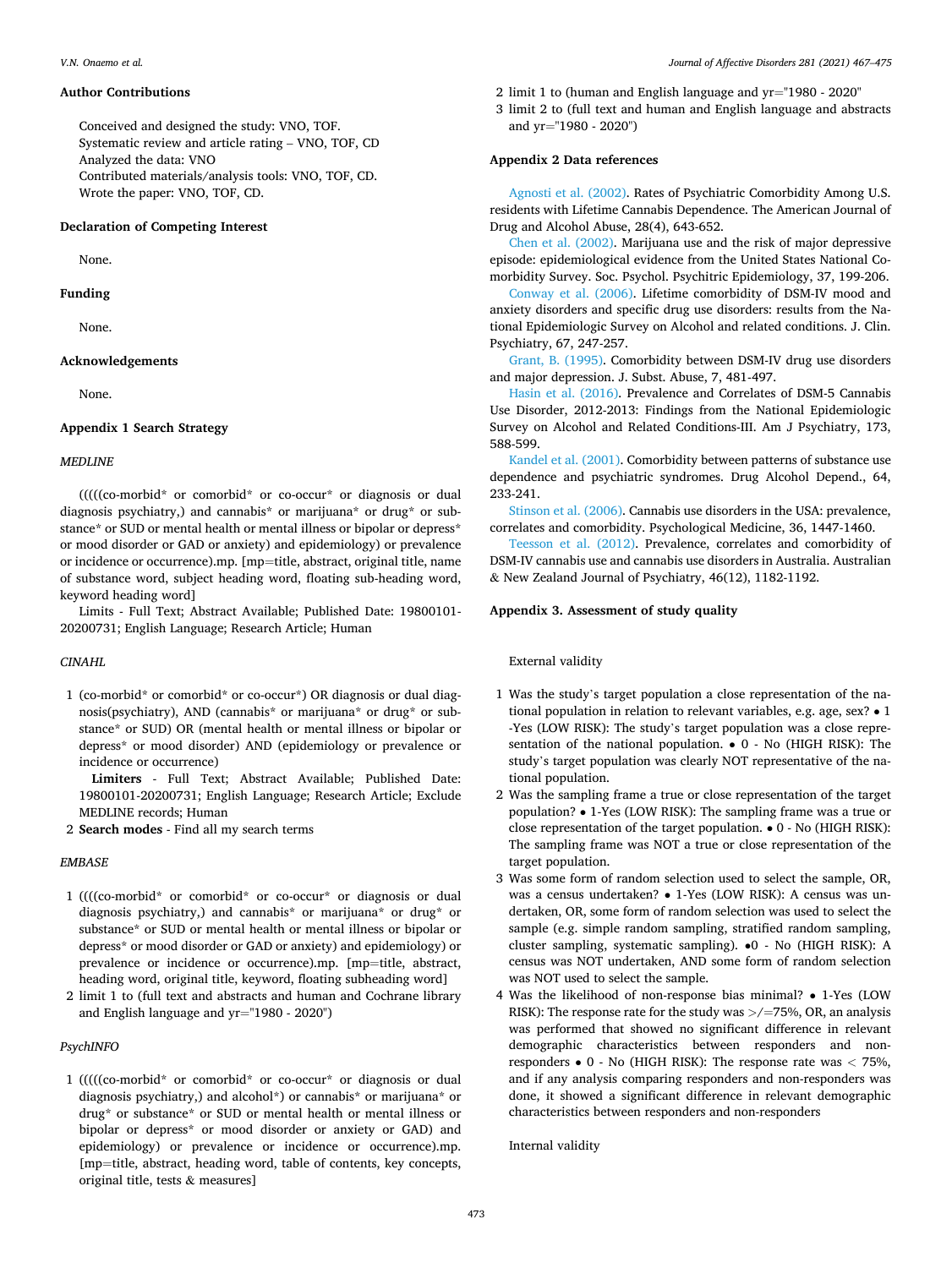### <span id="page-6-0"></span>**Author Contributions**

Conceived and designed the study: VNO, TOF. Systematic review and article rating – VNO, TOF, CD Analyzed the data: VNO Contributed materials/analysis tools: VNO, TOF, CD. Wrote the paper: VNO, TOF, CD.

### **Declaration of Competing Interest**

None.

**Funding** 

None.

# **Acknowledgements**

None.

# **Appendix 1 Search Strategy**

### *MEDLINE*

(((((co-morbid\* or comorbid\* or co-occur\* or diagnosis or dual diagnosis psychiatry,) and cannabis\* or marijuana\* or drug\* or substance\* or SUD or mental health or mental illness or bipolar or depress\* or mood disorder or GAD or anxiety) and epidemiology) or prevalence or incidence or occurrence).mp. [mp=title, abstract, original title, name of substance word, subject heading word, floating sub-heading word, keyword heading word]

Limits - Full Text; Abstract Available; Published Date: 19800101- 20200731; English Language; Research Article; Human

### *CINAHL*

1 (co-morbid\* or comorbid\* or co-occur\*) OR diagnosis or dual diagnosis(psychiatry), AND (cannabis\* or marijuana\* or drug\* or substance\* or SUD) OR (mental health or mental illness or bipolar or depress\* or mood disorder) AND (epidemiology or prevalence or incidence or occurrence)

**Limiters** - Full Text; Abstract Available; Published Date: 19800101-20200731; English Language; Research Article; Exclude MEDLINE records; Human

2 **Search modes** - Find all my search terms

### *EMBASE*

- 1 ((((co-morbid\* or comorbid\* or co-occur\* or diagnosis or dual diagnosis psychiatry,) and cannabis\* or marijuana\* or drug\* or substance\* or SUD or mental health or mental illness or bipolar or depress\* or mood disorder or GAD or anxiety) and epidemiology) or prevalence or incidence or occurrence).mp. [mp=title, abstract, heading word, original title, keyword, floating subheading word]
- 2 limit 1 to (full text and abstracts and human and Cochrane library and English language and yr="1980 - 2020")

### *PsychINFO*

1 (((((co-morbid\* or comorbid\* or co-occur\* or diagnosis or dual diagnosis psychiatry,) and alcohol\*) or cannabis\* or marijuana\* or drug\* or substance\* or SUD or mental health or mental illness or bipolar or depress\* or mood disorder or anxiety or GAD) and epidemiology) or prevalence or incidence or occurrence).mp. [mp=title, abstract, heading word, table of contents, key concepts, original title, tests & measures]

- 2 limit 1 to (human and English language and yr="1980 2020"
- 3 limit 2 to (full text and human and English language and abstracts and yr="1980 - 2020")

### **Appendix 2 Data references**

[Agnosti et al. \(2002\).](#page-7-0) Rates of Psychiatric Comorbidity Among U.S. residents with Lifetime Cannabis Dependence. The American Journal of Drug and Alcohol Abuse, 28(4), 643-652.

[Chen et al. \(2002\)](#page-7-0). Marijuana use and the risk of major depressive episode: epidemiological evidence from the United States National Comorbidity Survey. Soc. Psychol. Psychitric Epidemiology, 37, 199-206.

[Conway et al. \(2006\)](#page-7-0). Lifetime comorbidity of DSM-IV mood and anxiety disorders and specific drug use disorders: results from the National Epidemiologic Survey on Alcohol and related conditions. J. Clin. Psychiatry, 67, 247-257.

[Grant, B. \(1995\)](#page-8-0). Comorbidity between DSM-IV drug use disorders and major depression. J. Subst. Abuse, 7, 481-497.

[Hasin et al. \(2016\)](#page-8-0). Prevalence and Correlates of DSM-5 Cannabis Use Disorder, 2012-2013: Findings from the National Epidemiologic Survey on Alcohol and Related Conditions-III. Am J Psychiatry, 173, 588-599.

[Kandel et al. \(2001\)](#page-8-0). Comorbidity between patterns of substance use dependence and psychiatric syndromes. Drug Alcohol Depend., 64, 233-241.

[Stinson et al. \(2006\).](#page-8-0) Cannabis use disorders in the USA: prevalence, correlates and comorbidity. Psychological Medicine, 36, 1447-1460.

[Teesson et al. \(2012\).](#page-8-0) Prevalence, correlates and comorbidity of DSM-IV cannabis use and cannabis use disorders in Australia. Australian & New Zealand Journal of Psychiatry, 46(12), 1182-1192.

### **Appendix 3. Assessment of study quality**

#### External validity

- 1 Was the study's target population a close representation of the national population in relation to relevant variables, e.g. age, sex? • 1 -Yes (LOW RISK): The study's target population was a close representation of the national population. • 0 - No (HIGH RISK): The study's target population was clearly NOT representative of the national population.
- 2 Was the sampling frame a true or close representation of the target population? • 1-Yes (LOW RISK): The sampling frame was a true or close representation of the target population. • 0 - No (HIGH RISK): The sampling frame was NOT a true or close representation of the target population.
- 3 Was some form of random selection used to select the sample, OR, was a census undertaken? • 1-Yes (LOW RISK): A census was undertaken, OR, some form of random selection was used to select the sample (e.g. simple random sampling, stratified random sampling, cluster sampling, systematic sampling). •0 - No (HIGH RISK): A census was NOT undertaken, AND some form of random selection was NOT used to select the sample.
- 4 Was the likelihood of non-response bias minimal? 1-Yes (LOW RISK): The response rate for the study was *>*/=75%, OR, an analysis was performed that showed no significant difference in relevant demographic characteristics between responders and nonresponders • 0 - No (HIGH RISK): The response rate was *<* 75%, and if any analysis comparing responders and non-responders was done, it showed a significant difference in relevant demographic characteristics between responders and non-responders

Internal validity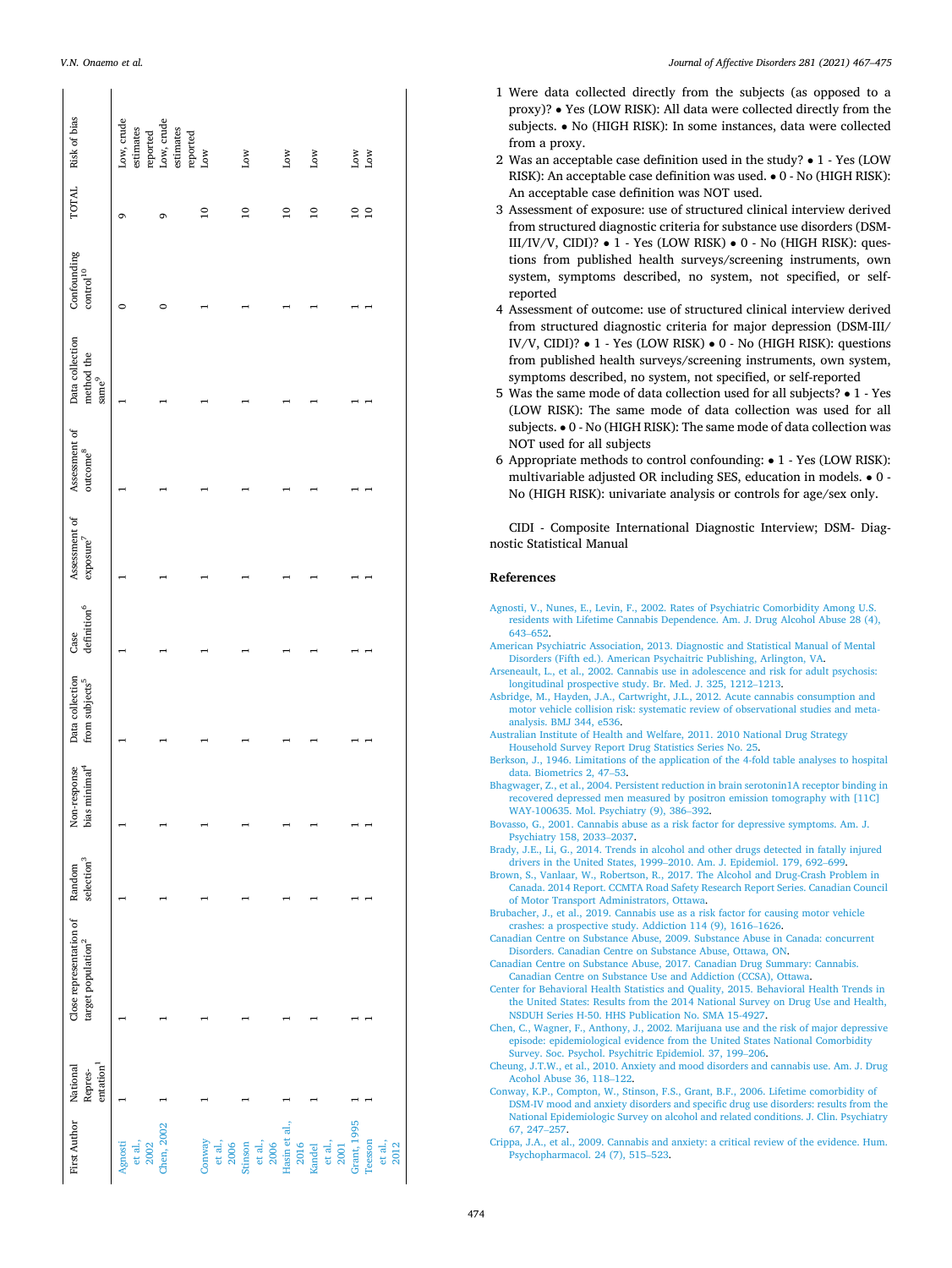| TOTAL Risk of bias                                        | Low, crude<br>Low, crude<br>estimates<br>estimates<br>reported | reported<br>Low           | Low                        | Low                   | Low                       | Low<br>Low                                |
|-----------------------------------------------------------|----------------------------------------------------------------|---------------------------|----------------------------|-----------------------|---------------------------|-------------------------------------------|
|                                                           | G<br>G                                                         | $\overline{10}$           | $\overline{10}$            | $\overline{a}$        | $\overline{10}$           | $\overline{10}$<br>$\overline{10}$        |
| Confounding<br>$\rm{control}^{10}$                        | 0                                                              |                           |                            |                       |                           |                                           |
| Data collection<br>method the<br>same <sup>9</sup>        |                                                                |                           |                            |                       |                           |                                           |
| Assessment of<br>$outcome^8$                              |                                                                |                           |                            |                       |                           |                                           |
| Assessment of<br>$exposure^7$                             |                                                                |                           |                            |                       |                           |                                           |
| $\rm definition^6$<br>Case                                |                                                                |                           |                            |                       |                           |                                           |
| Data collection<br>from subjects <sup>5</sup>             |                                                                |                           |                            |                       |                           |                                           |
| bias minimal <sup>4</sup><br>Non-response                 |                                                                |                           |                            |                       |                           |                                           |
| selection <sup>3</sup><br>Random                          |                                                                |                           |                            |                       |                           |                                           |
| Close representation of<br>target population <sup>2</sup> |                                                                |                           |                            |                       |                           |                                           |
| entation <sup>1</sup><br>Repres-                          |                                                                |                           |                            |                       |                           |                                           |
| First Author National                                     | Chen, 2002<br>et al., $2002$<br>Agnosti                        | Conway<br>et al.,<br>2006 | et al.,<br>2006<br>Stinson | Hasin et al.,<br>2016 | et al.,<br>2001<br>Kandel | Grant, 1995<br>Teesson<br>et al.,<br>2012 |

<span id="page-7-0"></span>*V.N. Onaemo et al.* 

- 1 Were data collected directly from the subjects (as opposed to a proxy)? • Yes (LOW RISK): All data were collected directly from the subjects. • No (HIGH RISK): In some instances, data were collected from a proxy.
- 2 Was an acceptable case definition used in the study? 1 Yes (LOW RISK): An acceptable case definition was used. • 0 - No (HIGH RISK): An acceptable case definition was NOT used.
- 3 Assessment of exposure: use of structured clinical interview derived from structured diagnostic criteria for substance use disorders (DSM-III/IV/V, CIDI)? • 1 - Yes (LOW RISK) • 0 - No (HIGH RISK): questions from published health surveys/screening instruments, own system, symptoms described, no system, not specified, or selfreported
- 4 Assessment of outcome: use of structured clinical interview derived from structured diagnostic criteria for major depression (DSM-III/ IV/V, CIDI)? • 1 - Yes (LOW RISK) • 0 - No (HIGH RISK): questions from published health surveys/screening instruments, own system, symptoms described, no system, not specified, or self-reported
- 5 Was the same mode of data collection used for all subjects? 1 Yes (LOW RISK): The same mode of data collection was used for all subjects. • 0 - No (HIGH RISK): The same mode of data collection was NOT used for all subjects
- 6 Appropriate methods to control confounding: 1 Yes (LOW RISK): multivariable adjusted OR including SES, education in models. • 0 - No (HIGH RISK): univariate analysis or controls for age/sex only.

CIDI - Composite International Diagnostic Interview; DSM- Diagnostic Statistical Manual

### **References**

- [Agnosti, V., Nunes, E., Levin, F., 2002. Rates of Psychiatric Comorbidity Among U.S.](http://refhub.elsevier.com/S0165-0327(20)33133-5/sbref0001)  [residents with Lifetime Cannabis Dependence. Am. J. Drug Alcohol Abuse 28 \(4\),](http://refhub.elsevier.com/S0165-0327(20)33133-5/sbref0001) 643–[652](http://refhub.elsevier.com/S0165-0327(20)33133-5/sbref0001).
- [American Psychiatric Association, 2013. Diagnostic and Statistical Manual of Mental](http://refhub.elsevier.com/S0165-0327(20)33133-5/sbref0002)  [Disorders \(Fifth ed.\). American Psychaitric Publishing, Arlington, VA](http://refhub.elsevier.com/S0165-0327(20)33133-5/sbref0002).
- [Arseneault, L., et al., 2002. Cannabis use in adolescence and risk for adult psychosis:](http://refhub.elsevier.com/S0165-0327(20)33133-5/sbref0003) [longitudinal prospective study. Br. Med. J. 325, 1212](http://refhub.elsevier.com/S0165-0327(20)33133-5/sbref0003)–1213.
- [Asbridge, M., Hayden, J.A., Cartwright, J.L., 2012. Acute cannabis consumption and](http://refhub.elsevier.com/S0165-0327(20)33133-5/sbref0004)  [motor vehicle collision risk: systematic review of observational studies and meta](http://refhub.elsevier.com/S0165-0327(20)33133-5/sbref0004)[analysis. BMJ 344, e536](http://refhub.elsevier.com/S0165-0327(20)33133-5/sbref0004).
- [Australian Institute of Health and Welfare, 2011. 2010 National Drug Strategy](http://refhub.elsevier.com/S0165-0327(20)33133-5/sbref0005)  [Household Survey Report Drug Statistics Series No. 25](http://refhub.elsevier.com/S0165-0327(20)33133-5/sbref0005).
- [Berkson, J., 1946. Limitations of the application of the 4-fold table analyses to hospital](http://refhub.elsevier.com/S0165-0327(20)33133-5/sbref0007)  [data. Biometrics 2, 47](http://refhub.elsevier.com/S0165-0327(20)33133-5/sbref0007)–53.
- [Bhagwager, Z., et al., 2004. Persistent reduction in brain serotonin1A receptor binding in](http://refhub.elsevier.com/S0165-0327(20)33133-5/sbref0008)  [recovered depressed men measured by positron emission tomography with \[11C\]](http://refhub.elsevier.com/S0165-0327(20)33133-5/sbref0008)  [WAY-100635. Mol. Psychiatry \(9\), 386](http://refhub.elsevier.com/S0165-0327(20)33133-5/sbref0008)–392.
- [Bovasso, G., 2001. Cannabis abuse as a risk factor for depressive symptoms. Am. J.](http://refhub.elsevier.com/S0165-0327(20)33133-5/sbref0009) [Psychiatry 158, 2033](http://refhub.elsevier.com/S0165-0327(20)33133-5/sbref0009)–2037.
- [Brady, J.E., Li, G., 2014. Trends in alcohol and other drugs detected in fatally injured](http://refhub.elsevier.com/S0165-0327(20)33133-5/sbref0010)  drivers in the United States, 1999–[2010. Am. J. Epidemiol. 179, 692](http://refhub.elsevier.com/S0165-0327(20)33133-5/sbref0010)–699.
- [Brown, S., Vanlaar, W., Robertson, R., 2017. The Alcohol and Drug-Crash Problem in](http://refhub.elsevier.com/S0165-0327(20)33133-5/sbref0011) [Canada. 2014 Report. CCMTA Road Safety Research Report Series. Canadian Council](http://refhub.elsevier.com/S0165-0327(20)33133-5/sbref0011)  [of Motor Transport Administrators, Ottawa](http://refhub.elsevier.com/S0165-0327(20)33133-5/sbref0011).
- [Brubacher, J., et al., 2019. Cannabis use as a risk factor for causing motor vehicle](http://refhub.elsevier.com/S0165-0327(20)33133-5/sbref0012) [crashes: a prospective study. Addiction 114 \(9\), 1616](http://refhub.elsevier.com/S0165-0327(20)33133-5/sbref0012)–1626.
- [Canadian Centre on Substance Abuse, 2009. Substance Abuse in Canada: concurrent](http://refhub.elsevier.com/S0165-0327(20)33133-5/sbref0013) [Disorders. Canadian Centre on Substance Abuse, Ottawa, ON](http://refhub.elsevier.com/S0165-0327(20)33133-5/sbref0013).
- [Canadian Centre on Substance Abuse, 2017. Canadian Drug Summary: Cannabis.](http://refhub.elsevier.com/S0165-0327(20)33133-5/sbref0014)  [Canadian Centre on Substance Use and Addiction \(CCSA\), Ottawa.](http://refhub.elsevier.com/S0165-0327(20)33133-5/sbref0014)
- [Center for Behavioral Health Statistics and Quality, 2015. Behavioral Health Trends in](http://refhub.elsevier.com/S0165-0327(20)33133-5/sbref0015)  [the United States: Results from the 2014 National Survey on Drug Use and Health,](http://refhub.elsevier.com/S0165-0327(20)33133-5/sbref0015)  [NSDUH Series H-50. HHS Publication No. SMA 15-4927.](http://refhub.elsevier.com/S0165-0327(20)33133-5/sbref0015)
- [Chen, C., Wagner, F., Anthony, J., 2002. Marijuana use and the risk of major depressive](http://refhub.elsevier.com/S0165-0327(20)33133-5/sbref0016)  [episode: epidemiological evidence from the United States National Comorbidity](http://refhub.elsevier.com/S0165-0327(20)33133-5/sbref0016)  [Survey. Soc. Psychol. Psychitric Epidemiol. 37, 199](http://refhub.elsevier.com/S0165-0327(20)33133-5/sbref0016)–206.
- [Cheung, J.T.W., et al., 2010. Anxiety and mood disorders and cannabis use. Am. J. Drug](http://refhub.elsevier.com/S0165-0327(20)33133-5/sbref0017)  [Acohol Abuse 36, 118](http://refhub.elsevier.com/S0165-0327(20)33133-5/sbref0017)–122.
- [Conway, K.P., Compton, W., Stinson, F.S., Grant, B.F., 2006. Lifetime comorbidity of](http://refhub.elsevier.com/S0165-0327(20)33133-5/sbref0018)  [DSM-IV mood and anxiety disorders and specific drug use disorders: results from the](http://refhub.elsevier.com/S0165-0327(20)33133-5/sbref0018)  [National Epidemiologic Survey on alcohol and related conditions. J. Clin. Psychiatry](http://refhub.elsevier.com/S0165-0327(20)33133-5/sbref0018)  [67, 247](http://refhub.elsevier.com/S0165-0327(20)33133-5/sbref0018)–257.
- [Crippa, J.A., et al., 2009. Cannabis and anxiety: a critical review of the evidence. Hum.](http://refhub.elsevier.com/S0165-0327(20)33133-5/sbref0020)  [Psychopharmacol. 24 \(7\), 515](http://refhub.elsevier.com/S0165-0327(20)33133-5/sbref0020)–523.